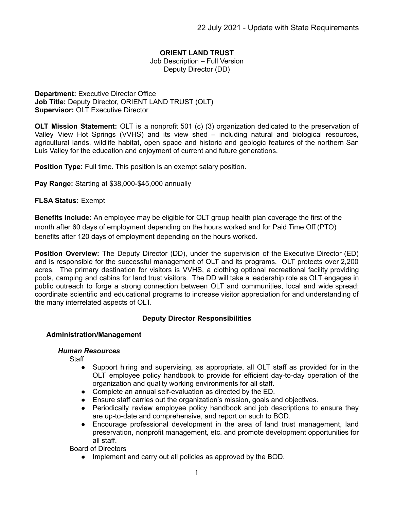# **ORIENT LAND TRUST**

Job Description – Full Version Deputy Director (DD)

**Department:** Executive Director Office **Job Title:** Deputy Director, ORIENT LAND TRUST (OLT) **Supervisor:** OLT Executive Director

**OLT Mission Statement:** OLT is a nonprofit 501 (c) (3) organization dedicated to the preservation of Valley View Hot Springs (VVHS) and its view shed – including natural and biological resources, agricultural lands, wildlife habitat, open space and historic and geologic features of the northern San Luis Valley for the education and enjoyment of current and future generations.

**Position Type:** Full time. This position is an exempt salary position.

**Pay Range:** Starting at \$38,000-\$45,000 annually

### **FLSA Status:** Exempt

**Benefits include:** An employee may be eligible for OLT group health plan coverage the first of the month after 60 days of employment depending on the hours worked and for Paid Time Off (PTO) benefits after 120 days of employment depending on the hours worked.

**Position Overview:** The Deputy Director (DD), under the supervision of the Executive Director (ED) and is responsible for the successful management of OLT and its programs. OLT protects over 2,200 acres. The primary destination for visitors is VVHS, a clothing optional recreational facility providing pools, camping and cabins for land trust visitors. The DD will take a leadership role as OLT engages in public outreach to forge a strong connection between OLT and communities, local and wide spread; coordinate scientific and educational programs to increase visitor appreciation for and understanding of the many interrelated aspects of OLT.

## **Deputy Director Responsibilities**

#### **Administration/Management**

#### *Human Resources*

**Staff** 

- Support hiring and supervising, as appropriate, all OLT staff as provided for in the OLT employee policy handbook to provide for efficient day-to-day operation of the organization and quality working environments for all staff.
- Complete an annual self-evaluation as directed by the ED.
- Ensure staff carries out the organization's mission, goals and objectives.
- Periodically review employee policy handbook and job descriptions to ensure they are up-to-date and comprehensive, and report on such to BOD.
- Encourage professional development in the area of land trust management, land preservation, nonprofit management, etc. and promote development opportunities for all staff.

Board of Directors

● Implement and carry out all policies as approved by the BOD.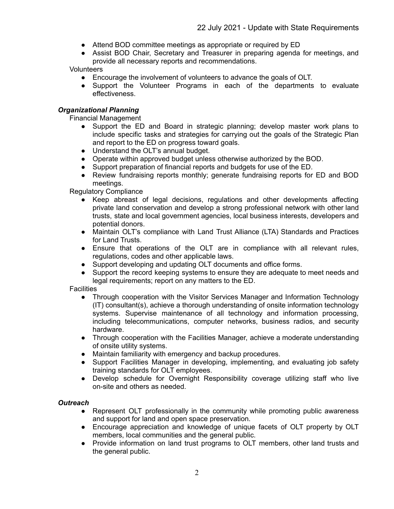- Attend BOD committee meetings as appropriate or required by ED
- **B** Assist BOD Chair, Secretary and Treasurer in preparing agenda for meetings, and provide all necessary reports and recommendations.

Volunteers

- Encourage the involvement of volunteers to advance the goals of OLT.
- Support the Volunteer Programs in each of the departments to evaluate effectiveness.

## *Organizational Planning*

Financial Management

- Support the ED and Board in strategic planning; develop master work plans to include specific tasks and strategies for carrying out the goals of the Strategic Plan and report to the ED on progress toward goals.
- Understand the OLT's annual budget.
- Operate within approved budget unless otherwise authorized by the BOD.
- Support preparation of financial reports and budgets for use of the ED.
- Review fundraising reports monthly; generate fundraising reports for ED and BOD meetings.

Regulatory Compliance

- Keep abreast of legal decisions, regulations and other developments affecting private land conservation and develop a strong professional network with other land trusts, state and local government agencies, local business interests, developers and potential donors.
- Maintain OLT's compliance with Land Trust Alliance (LTA) Standards and Practices for Land Trusts.
- Ensure that operations of the OLT are in compliance with all relevant rules, regulations, codes and other applicable laws.
- Support developing and updating OLT documents and office forms.
- Support the record keeping systems to ensure they are adequate to meet needs and legal requirements; report on any matters to the ED.

**Facilities** 

- Through cooperation with the Visitor Services Manager and Information Technology (IT) consultant(s), achieve a thorough understanding of onsite information technology systems. Supervise maintenance of all technology and information processing, including telecommunications, computer networks, business radios, and security hardware.
- Through cooperation with the Facilities Manager, achieve a moderate understanding of onsite utility systems.
- Maintain familiarity with emergency and backup procedures.
- Support Facilities Manager in developing, implementing, and evaluating job safety training standards for OLT employees.
- Develop schedule for Overnight Responsibility coverage utilizing staff who live on-site and others as needed.

#### *Outreach*

- Represent OLT professionally in the community while promoting public awareness and support for land and open space preservation.
- Encourage appreciation and knowledge of unique facets of OLT property by OLT members, local communities and the general public.
- Provide information on land trust programs to OLT members, other land trusts and the general public.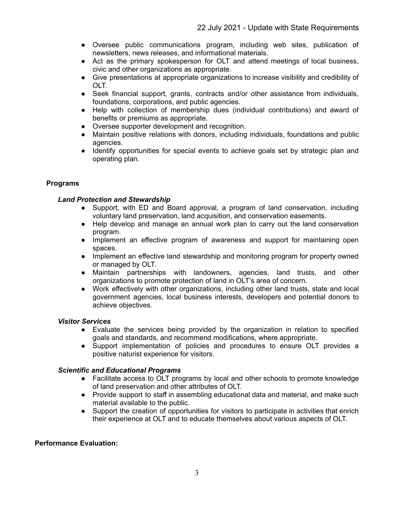- Oversee public communications program, including web sites, publication of newsletters, news releases, and informational materials.
- Act as the primary spokesperson for OLT and attend meetings of local business, civic and other organizations as appropriate.
- Give presentations at appropriate organizations to increase visibility and credibility of OLT.
- Seek financial support, grants, contracts and/or other assistance from individuals, foundations, corporations, and public agencies.
- Help with collection of membership dues (individual contributions) and award of benefits or premiums as appropriate.
- Oversee supporter development and recognition.
- Maintain positive relations with donors, including individuals, foundations and public agencies.
- Identify opportunities for special events to achieve goals set by strategic plan and operating plan.

# **Programs**

# *Land Protection and Stewardship*

- Support, with ED and Board approval, a program of land conservation, including voluntary land preservation, land acquisition, and conservation easements.
- Help develop and manage an annual work plan to carry out the land conservation program.
- Implement an effective program of awareness and support for maintaining open spaces.
- Implement an effective land stewardship and monitoring program for property owned or managed by OLT.
- Maintain partnerships with landowners, agencies, land trusts, and other organizations to promote protection of land in OLT's area of concern.
- Work effectively with other organizations, including other land trusts, state and local government agencies, local business interests, developers and potential donors to achieve objectives.

## *Visitor Services*

- Evaluate the services being provided by the organization in relation to specified goals and standards, and recommend modifications, where appropriate.
- Support implementation of policies and procedures to ensure OLT provides a positive naturist experience for visitors.

## *Scientific and Educational Programs*

- Facilitate access to OLT programs by local and other schools to promote knowledge of land preservation and other attributes of OLT.
- Provide support to staff in assembling educational data and material, and make such material available to the public.
- Support the creation of opportunities for visitors to participate in activities that enrich their experience at OLT and to educate themselves about various aspects of OLT.

## **Performance Evaluation:**